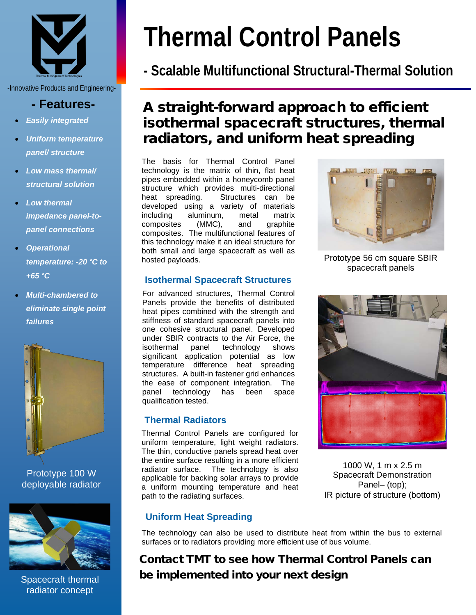

-Innovative Products and Engineering-

## **- Features-**

- *Easily integrated*
- *Uniform temperature panel/ structure*
- *Low mass thermal/ structural solution*
- *Low thermal impedance panel-topanel connections*
- *Operational temperature: -20 °C to +65 °C*
- *Multi-chambered to eliminate single point failures*



Prototype 100 W deployable radiator



Spacecraft thermal radiator concept

# **Thermal Control Panels**

# **- Scalable Multifunctional Structural-Thermal Solution**

## A straight-forward approach to efficient isothermal spacecraft structures, thermal radiators, and uniform heat spreading

The basis for Thermal Control Panel technology is the matrix of thin, flat heat pipes embedded within a honeycomb panel structure which provides multi-directional<br>heat spreading. Structures can be Structures can be developed using a variety of materials including aluminum, metal matrix<br>composites (MMC) and graphite composites (MMC), and graphite composites. The multifunctional features of this technology make it an ideal structure for both small and large spacecraft as well as hosted payloads.

## **Isothermal Spacecraft Structures**

For advanced structures, Thermal Control Panels provide the benefits of distributed heat pipes combined with the strength and stiffness of standard spacecraft panels into one cohesive structural panel. Developed under SBIR contracts to the Air Force, the isothermal panel technology shows significant application potential as low temperature difference heat spreading structures. A built-in fastener grid enhances the ease of component integration. The<br>panel technology has been space panel technology has been space qualification tested.

## **Thermal Radiators**

Thermal Control Panels are configured for uniform temperature, light weight radiators. The thin, conductive panels spread heat over the entire surface resulting in a more efficient radiator surface. The technology is also applicable for backing solar arrays to provide a uniform mounting temperature and heat path to the radiating surfaces.



Prototype 56 cm square SBIR spacecraft panels



1000 W, 1 m x 2.5 m Spacecraft Demonstration Panel– (top); IR picture of structure (bottom)

## **Uniform Heat Spreading**

The technology can also be used to distribute heat from within the bus to external surfaces or to radiators providing more efficient use of bus volume.

## Contact TMT to see how Thermal Control Panels can be implemented into your next design